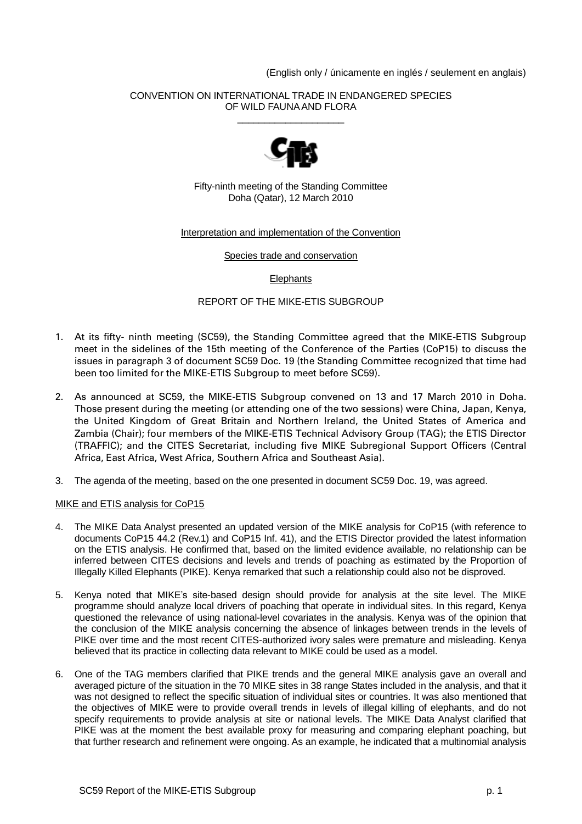(English only / únicamente en inglés / seulement en anglais)

#### CONVENTION ON INTERNATIONAL TRADE IN ENDANGERED SPECIES OF WILD FAUNA AND FLORA \_\_\_\_\_\_\_\_\_\_\_\_\_\_\_\_\_\_\_\_



Fifty-ninth meeting of the Standing Committee Doha (Qatar), 12 March 2010

# Interpretation and implementation of the Convention

Species trade and conservation

**Elephants** 

# REPORT OF THE MIKE-ETIS SUBGROUP

- 1. At its fifty- ninth meeting (SC59), the Standing Committee agreed that the MIKE-ETIS Subgroup meet in the sidelines of the 15th meeting of the Conference of the Parties (CoP15) to discuss the issues in paragraph 3 of document SC59 Doc. 19 (the Standing Committee recognized that time had been too limited for the MIKE-ETIS Subgroup to meet before SC59).
- 2. As announced at SC59, the MIKE-ETIS Subgroup convened on 13 and 17 March 2010 in Doha. Those present during the meeting (or attending one of the two sessions) were China, Japan, Kenya, the United Kingdom of Great Britain and Northern Ireland, the United States of America and Zambia (Chair); four members of the MIKE-ETIS Technical Advisory Group (TAG); the ETIS Director (TRAFFIC); and the CITES Secretariat, including five MIKE Subregional Support Officers (Central Africa, East Africa, West Africa, Southern Africa and Southeast Asia).
- 3. The agenda of the meeting, based on the one presented in document SC59 Doc. 19, was agreed.

# MIKE and ETIS analysis for CoP15

- 4. The MIKE Data Analyst presented an updated version of the MIKE analysis for CoP15 (with reference to documents CoP15 44.2 (Rev.1) and CoP15 Inf. 41), and the ETIS Director provided the latest information on the ETIS analysis. He confirmed that, based on the limited evidence available, no relationship can be inferred between CITES decisions and levels and trends of poaching as estimated by the Proportion of Illegally Killed Elephants (PIKE). Kenya remarked that such a relationship could also not be disproved.
- 5. Kenya noted that MIKE's site-based design should provide for analysis at the site level. The MIKE programme should analyze local drivers of poaching that operate in individual sites. In this regard, Kenya questioned the relevance of using national-level covariates in the analysis. Kenya was of the opinion that the conclusion of the MIKE analysis concerning the absence of linkages between trends in the levels of PIKE over time and the most recent CITES-authorized ivory sales were premature and misleading. Kenya believed that its practice in collecting data relevant to MIKE could be used as a model.
- 6. One of the TAG members clarified that PIKE trends and the general MIKE analysis gave an overall and averaged picture of the situation in the 70 MIKE sites in 38 range States included in the analysis, and that it was not designed to reflect the specific situation of individual sites or countries. It was also mentioned that the objectives of MIKE were to provide overall trends in levels of illegal killing of elephants, and do not specify requirements to provide analysis at site or national levels. The MIKE Data Analyst clarified that PIKE was at the moment the best available proxy for measuring and comparing elephant poaching, but that further research and refinement were ongoing. As an example, he indicated that a multinomial analysis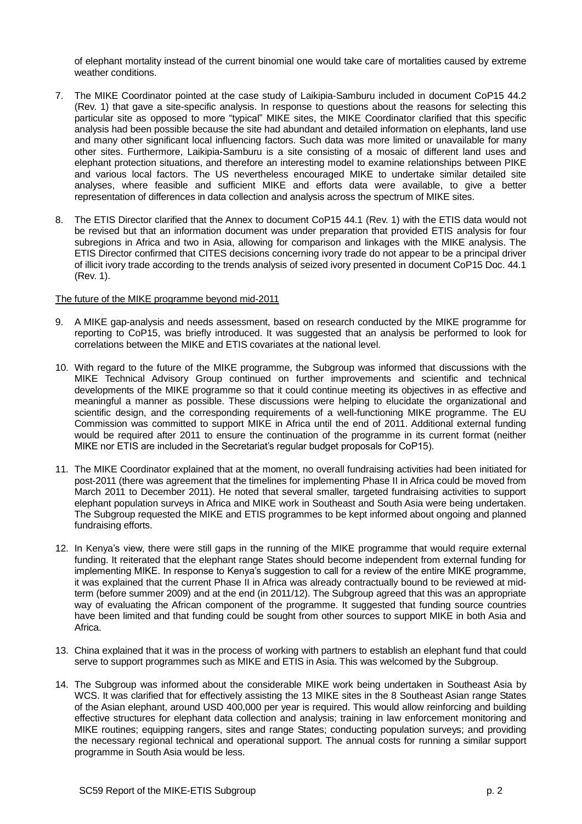of elephant mortality instead of the current binomial one would take care of mortalities caused by extreme weather conditions

- 7. The MIKE Coordinator pointed at the case study of Laikipia-Samburu included in document CoP15 44.2 (Rev. 1) that gave a site-specific analysis. In response to questions about the reasons for selecting this particular site as opposed to more "typical" MIKE sites, the MIKE Coordinator clarified that this specific analysis had been possible because the site had abundant and detailed information on elephants, land use and many other significant local influencing factors. Such data was more limited or unavailable for many other sites. Furthermore, Laikipia-Samburu is a site consisting of a mosaic of different land uses and elephant protection situations, and therefore an interesting model to examine relationships between PIKE and various local factors. The US nevertheless encouraged MIKE to undertake similar detailed site analyses, where feasible and sufficient MIKE and efforts data were available, to give a better representation of differences in data collection and analysis across the spectrum of MIKE sites.
- 8. The ETIS Director clarified that the Annex to document CoP15 44.1 (Rev. 1) with the ETIS data would not be revised but that an information document was under preparation that provided ETIS analysis for four subregions in Africa and two in Asia, allowing for comparison and linkages with the MIKE analysis. The ETIS Director confirmed that CITES decisions concerning ivory trade do not appear to be a principal driver of illicit ivory trade according to the trends analysis of seized ivory presented in document CoP15 Doc. 44.1 (Rev. 1).

#### The future of the MIKE programme beyond mid-2011

- 9. A MIKE gap-analysis and needs assessment, based on research conducted by the MIKE programme for reporting to CoP15, was briefly introduced. It was suggested that an analysis be performed to look for correlations between the MIKE and ETIS covariates at the national level.
- 10. With regard to the future of the MIKE programme, the Subgroup was informed that discussions with the MIKE Technical Advisory Group continued on further improvements and scientific and technical developments of the MIKE programme so that it could continue meeting its objectives in as effective and meaningful a manner as possible. These discussions were helping to elucidate the organizational and scientific design, and the corresponding requirements of a well-functioning MIKE programme. The EU Commission was committed to support MIKE in Africa until the end of 2011. Additional external funding would be required after 2011 to ensure the continuation of the programme in its current format (neither MIKE nor ETIS are included in the Secretariat's regular budget proposals for CoP15).
- 11. The MIKE Coordinator explained that at the moment, no overall fundraising activities had been initiated for post-2011 (there was agreement that the timelines for implementing Phase II in Africa could be moved from March 2011 to December 2011). He noted that several smaller, targeted fundraising activities to support elephant population surveys in Africa and MIKE work in Southeast and South Asia were being undertaken. The Subgroup requested the MIKE and ETIS programmes to be kept informed about ongoing and planned fundraising efforts.
- 12. In Kenya's view, there were still gaps in the running of the MIKE programme that would require external funding. It reiterated that the elephant range States should become independent from external funding for implementing MIKE. In response to Kenya's suggestion to call for a review of the entire MIKE programme, it was explained that the current Phase II in Africa was already contractually bound to be reviewed at midterm (before summer 2009) and at the end (in 2011/12). The Subgroup agreed that this was an appropriate way of evaluating the African component of the programme. It suggested that funding source countries have been limited and that funding could be sought from other sources to support MIKE in both Asia and Africa.
- 13. China explained that it was in the process of working with partners to establish an elephant fund that could serve to support programmes such as MIKE and ETIS in Asia. This was welcomed by the Subgroup.
- 14. The Subgroup was informed about the considerable MIKE work being undertaken in Southeast Asia by WCS. It was clarified that for effectively assisting the 13 MIKE sites in the 8 Southeast Asian range States of the Asian elephant, around USD 400,000 per year is required. This would allow reinforcing and building effective structures for elephant data collection and analysis; training in law enforcement monitoring and MIKE routines; equipping rangers, sites and range States; conducting population surveys; and providing the necessary regional technical and operational support. The annual costs for running a similar support programme in South Asia would be less.